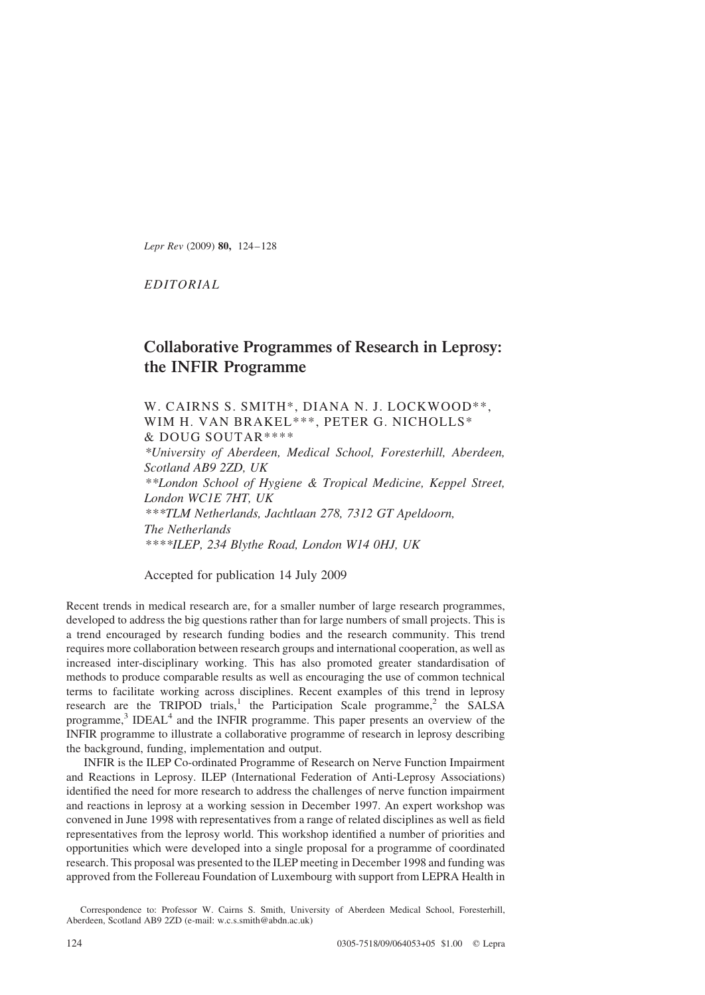Lepr Rev (2009) 80, 124–128

EDITORIAL

# Collaborative Programmes of Research in Leprosy: the INFIR Programme

W. CAIRNS S. SMITH\*, DIANA N. J. LOCKWOOD\*\*, WIM H. VAN BRAKEL\*\*\*, PETER G. NICHOLLS\* & DOUG SOUTAR\*\*\*\* \*University of Aberdeen, Medical School, Foresterhill, Aberdeen,

Scotland AB9 2ZD, UK \*\*London School of Hygiene & Tropical Medicine, Keppel Street, London WC1E 7HT, UK \*\*\*TLM Netherlands, Jachtlaan 278, 7312 GT Apeldoorn, The Netherlands \*\*\*\*ILEP, 234 Blythe Road, London W14 0HJ, UK

Accepted for publication 14 July 2009

Recent trends in medical research are, for a smaller number of large research programmes, developed to address the big questions rather than for large numbers of small projects. This is a trend encouraged by research funding bodies and the research community. This trend requires more collaboration between research groups and international cooperation, as well as increased inter-disciplinary working. This has also promoted greater standardisation of methods to produce comparable results as well as encouraging the use of common technical terms to facilitate working across disciplines. Recent examples of this trend in leprosy research are the TRIPOD trials,<sup>[1](#page-3-0)</sup> the Participation Scale programme,<sup>[2](#page-3-0)</sup> the SALSA programme, $3$  IDEAL<sup>[4](#page-3-0)</sup> and the INFIR programme. This paper presents an overview of the INFIR programme to illustrate a collaborative programme of research in leprosy describing the background, funding, implementation and output.

INFIR is the ILEP Co-ordinated Programme of Research on Nerve Function Impairment and Reactions in Leprosy. ILEP (International Federation of Anti-Leprosy Associations) identified the need for more research to address the challenges of nerve function impairment and reactions in leprosy at a working session in December 1997. An expert workshop was convened in June 1998 with representatives from a range of related disciplines as well as field representatives from the leprosy world. This workshop identified a number of priorities and opportunities which were developed into a single proposal for a programme of coordinated research. This proposal was presented to the ILEP meeting in December 1998 and funding was approved from the Follereau Foundation of Luxembourg with support from LEPRA Health in

Correspondence to: Professor W. Cairns S. Smith, University of Aberdeen Medical School, Foresterhill, Aberdeen, Scotland AB9 2ZD (e-mail: w.c.s.smith@abdn.ac.uk)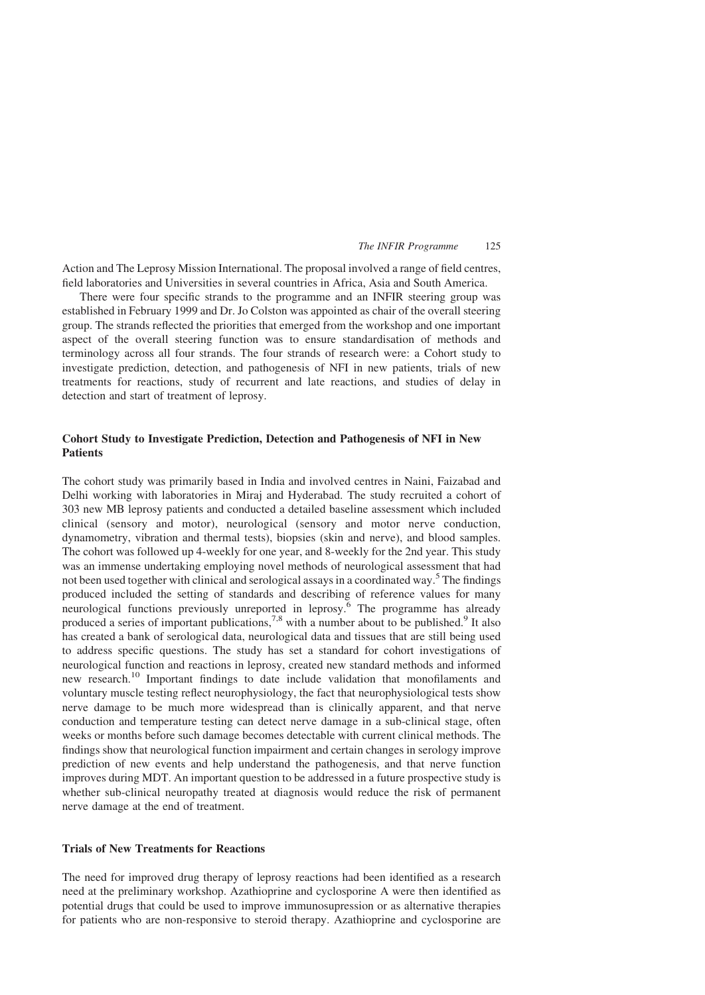#### The INFIR Programme 125

Action and The Leprosy Mission International. The proposal involved a range of field centres, field laboratories and Universities in several countries in Africa, Asia and South America.

There were four specific strands to the programme and an INFIR steering group was established in February 1999 and Dr. Jo Colston was appointed as chair of the overall steering group. The strands reflected the priorities that emerged from the workshop and one important aspect of the overall steering function was to ensure standardisation of methods and terminology across all four strands. The four strands of research were: a Cohort study to investigate prediction, detection, and pathogenesis of NFI in new patients, trials of new treatments for reactions, study of recurrent and late reactions, and studies of delay in detection and start of treatment of leprosy.

## Cohort Study to Investigate Prediction, Detection and Pathogenesis of NFI in New Patients

The cohort study was primarily based in India and involved centres in Naini, Faizabad and Delhi working with laboratories in Miraj and Hyderabad. The study recruited a cohort of 303 new MB leprosy patients and conducted a detailed baseline assessment which included clinical (sensory and motor), neurological (sensory and motor nerve conduction, dynamometry, vibration and thermal tests), biopsies (skin and nerve), and blood samples. The cohort was followed up 4-weekly for one year, and 8-weekly for the 2nd year. This study was an immense undertaking employing novel methods of neurological assessment that had not been used together with clinical and serological assays in a coordinated way.<sup>[5](#page-3-0)</sup> The findings produced included the setting of standards and describing of reference values for many neurological functions previously unreported in leprosy.<sup>[6](#page-3-0)</sup> The programme has already produced a series of important publications,<sup>[7,8](#page-3-0)</sup> with a number about to be published.<sup>[9](#page-3-0)</sup> It also has created a bank of serological data, neurological data and tissues that are still being used to address specific questions. The study has set a standard for cohort investigations of neurological function and reactions in leprosy, created new standard methods and informed new research.[10](#page-4-0) Important findings to date include validation that monofilaments and voluntary muscle testing reflect neurophysiology, the fact that neurophysiological tests show nerve damage to be much more widespread than is clinically apparent, and that nerve conduction and temperature testing can detect nerve damage in a sub-clinical stage, often weeks or months before such damage becomes detectable with current clinical methods. The findings show that neurological function impairment and certain changes in serology improve prediction of new events and help understand the pathogenesis, and that nerve function improves during MDT. An important question to be addressed in a future prospective study is whether sub-clinical neuropathy treated at diagnosis would reduce the risk of permanent nerve damage at the end of treatment.

# Trials of New Treatments for Reactions

The need for improved drug therapy of leprosy reactions had been identified as a research need at the preliminary workshop. Azathioprine and cyclosporine A were then identified as potential drugs that could be used to improve immunosupression or as alternative therapies for patients who are non-responsive to steroid therapy. Azathioprine and cyclosporine are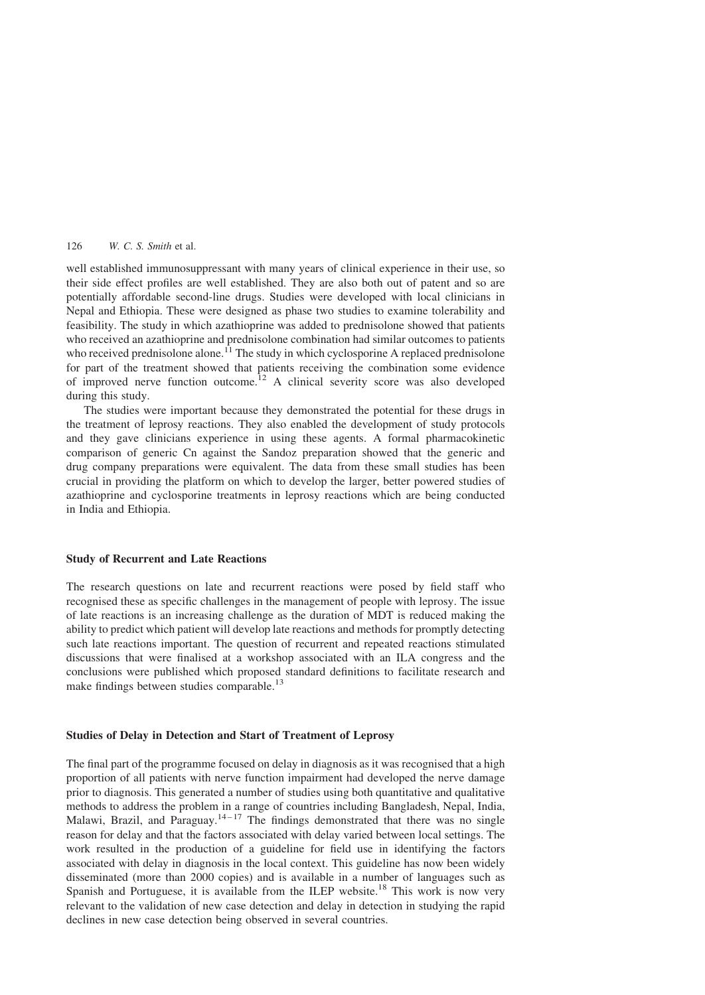### 126 W. C. S. Smith et al.

well established immunosuppressant with many years of clinical experience in their use, so their side effect profiles are well established. They are also both out of patent and so are potentially affordable second-line drugs. Studies were developed with local clinicians in Nepal and Ethiopia. These were designed as phase two studies to examine tolerability and feasibility. The study in which azathioprine was added to prednisolone showed that patients who received an azathioprine and prednisolone combination had similar outcomes to patients who received prednisolone alone.<sup>[11](#page-4-0)</sup> The study in which cyclosporine A replaced prednisolone for part of the treatment showed that patients receiving the combination some evidence of improved nerve function outcome.<sup>[12](#page-4-0)</sup> A clinical severity score was also developed during this study.

The studies were important because they demonstrated the potential for these drugs in the treatment of leprosy reactions. They also enabled the development of study protocols and they gave clinicians experience in using these agents. A formal pharmacokinetic comparison of generic Cn against the Sandoz preparation showed that the generic and drug company preparations were equivalent. The data from these small studies has been crucial in providing the platform on which to develop the larger, better powered studies of azathioprine and cyclosporine treatments in leprosy reactions which are being conducted in India and Ethiopia.

#### Study of Recurrent and Late Reactions

The research questions on late and recurrent reactions were posed by field staff who recognised these as specific challenges in the management of people with leprosy. The issue of late reactions is an increasing challenge as the duration of MDT is reduced making the ability to predict which patient will develop late reactions and methods for promptly detecting such late reactions important. The question of recurrent and repeated reactions stimulated discussions that were finalised at a workshop associated with an ILA congress and the conclusions were published which proposed standard definitions to facilitate research and make findings between studies comparable.<sup>[13](#page-4-0)</sup>

## Studies of Delay in Detection and Start of Treatment of Leprosy

The final part of the programme focused on delay in diagnosis as it was recognised that a high proportion of all patients with nerve function impairment had developed the nerve damage prior to diagnosis. This generated a number of studies using both quantitative and qualitative methods to address the problem in a range of countries including Bangladesh, Nepal, India, Malawi, Brazil, and Paraguay.<sup>14-17</sup> The findings demonstrated that there was no single reason for delay and that the factors associated with delay varied between local settings. The work resulted in the production of a guideline for field use in identifying the factors associated with delay in diagnosis in the local context. This guideline has now been widely disseminated (more than 2000 copies) and is available in a number of languages such as Spanish and Portuguese, it is available from the ILEP website.<sup>[18](#page-4-0)</sup> This work is now very relevant to the validation of new case detection and delay in detection in studying the rapid declines in new case detection being observed in several countries.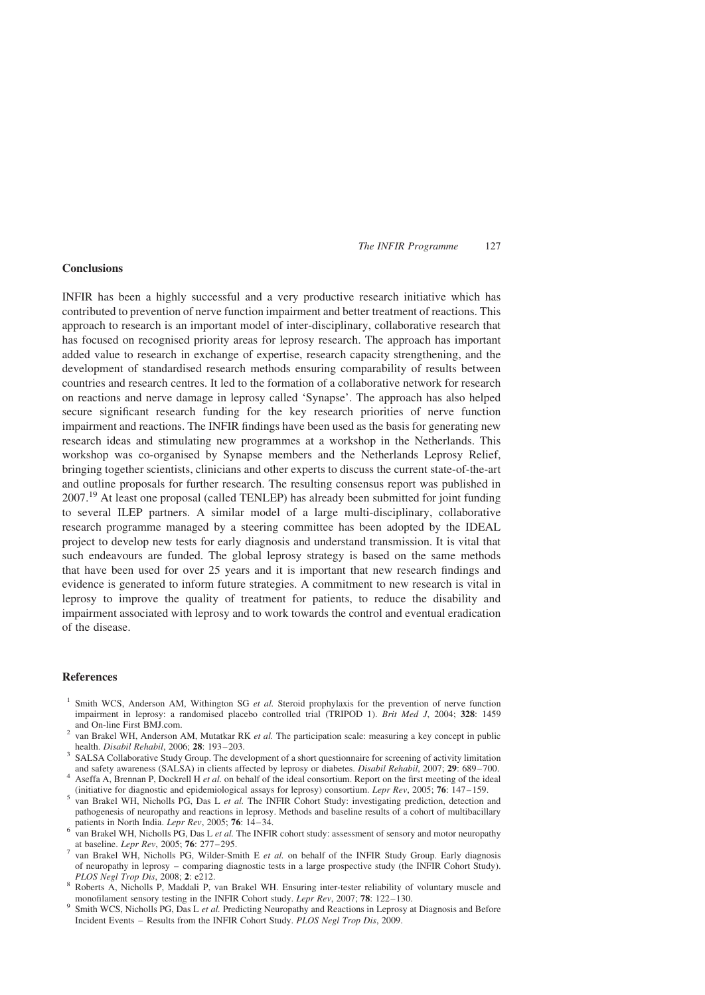### The INFIR Programme 127

## <span id="page-3-0"></span>Conclusions

INFIR has been a highly successful and a very productive research initiative which has contributed to prevention of nerve function impairment and better treatment of reactions. This approach to research is an important model of inter-disciplinary, collaborative research that has focused on recognised priority areas for leprosy research. The approach has important added value to research in exchange of expertise, research capacity strengthening, and the development of standardised research methods ensuring comparability of results between countries and research centres. It led to the formation of a collaborative network for research on reactions and nerve damage in leprosy called 'Synapse'. The approach has also helped secure significant research funding for the key research priorities of nerve function impairment and reactions. The INFIR findings have been used as the basis for generating new research ideas and stimulating new programmes at a workshop in the Netherlands. This workshop was co-organised by Synapse members and the Netherlands Leprosy Relief, bringing together scientists, clinicians and other experts to discuss the current state-of-the-art and outline proposals for further research. The resulting consensus report was published in 2007.<sup>[19](#page-4-0)</sup> At least one proposal (called TENLEP) has already been submitted for joint funding to several ILEP partners. A similar model of a large multi-disciplinary, collaborative research programme managed by a steering committee has been adopted by the IDEAL project to develop new tests for early diagnosis and understand transmission. It is vital that such endeavours are funded. The global leprosy strategy is based on the same methods that have been used for over 25 years and it is important that new research findings and evidence is generated to inform future strategies. A commitment to new research is vital in leprosy to improve the quality of treatment for patients, to reduce the disability and impairment associated with leprosy and to work towards the control and eventual eradication of the disease.

## References

- <sup>1</sup> Smith WCS, Anderson AM, Withington SG *et al.* Steroid prophylaxis for the prevention of nerve function impairment in leprosy: a randomised placebo controlled trial (TRIPOD 1). Brit Med J, 2004; 328: 1459
- and On-line First BMJ.com.<br><sup>2</sup> van Brakel WH, Anderson AM, Mutatkar RK *et al.* The participation scale: measuring a key concept in public health. *Disabil Rehabil*, 2006; **28**: 193–203.
- <sup>3</sup> SALSA Collaborative Study Group. The development of a short questionnaire for screening of activity limitation and safety awareness (SALSA) in clients affected by leprosy or diabetes. *Disabil Rehabil*, 2007; **29**: 689-700.<br><sup>4</sup> Aseffa A, Brennan P, Dockrell H *et al.* on behalf of the ideal consortium. Report on the first meeting
- (initiative for diagnostic and epidemiological assays for leprosy) consortium. Lepr Rev, 2005; 76: 147–159.<br><sup>5</sup> van Brakel WH, Nicholls PG, Das L *et al.* The INFIR Cohort Study: investigating prediction, detection and
- pathogenesis of neuropathy and reactions in leprosy. Methods and baseline results of a cohort of multibacillary patients in North India. *Lepr Rev*, 2005; **76**: 14–34.
- $\frac{1}{2}$  wan Brakel WH, Nicholls PG, Das L *et al.* The INFIR cohort study: assessment of sensory and motor neuropathy at baseline. Lepr Rev, 2005; 76: 277–295.<br>
van Brakel WH, Nicholls PG, Wilder-Smith E et al. on behalf of the INFIR Study Group. Early diagnosis
- of neuropathy in leprosy comparing diagnostic tests in a large prospective study (the INFIR Cohort Study).<br>PLOS Negl Trop Dis, 2008; 2: e212.
- <sup>8</sup> Roberts A, Nicholls P, Maddali P, van Brakel WH. Ensuring inter-tester reliability of voluntary muscle and monofilament sensory testing in the INFIR Cohort study. *Lepr Rev*, 2007; **78**: 122–130.
- <sup>9</sup> Smith WCS, Nicholls PG, Das L et al. Predicting Neuropathy and Reactions in Leprosy at Diagnosis and Before Incident Events – Results from the INFIR Cohort Study. PLOS Negl Trop Dis, 2009.